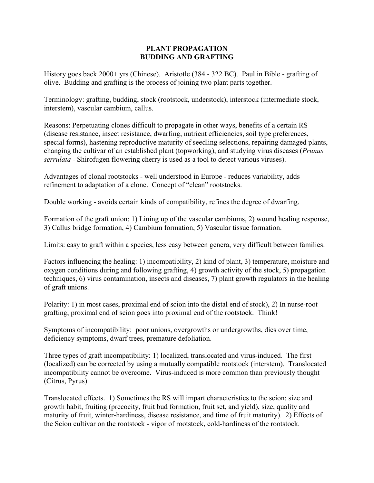## **PLANT PROPAGATION BUDDING AND GRAFTING**

History goes back 2000+ yrs (Chinese). Aristotle (384 - 322 BC). Paul in Bible - grafting of olive. Budding and grafting is the process of joining two plant parts together.

Terminology: grafting, budding, stock (rootstock, understock), interstock (intermediate stock, interstem), vascular cambium, callus.

Reasons: Perpetuating clones difficult to propagate in other ways, benefits of a certain RS (disease resistance, insect resistance, dwarfing, nutrient efficiencies, soil type preferences, special forms), hastening reproductive maturity of seedling selections, repairing damaged plants, changing the cultivar of an established plant (topworking), and studying virus diseases (*Prunus serrulata* - Shirofugen flowering cherry is used as a tool to detect various viruses).

Advantages of clonal rootstocks - well understood in Europe - reduces variability, adds refinement to adaptation of a clone. Concept of "clean" rootstocks.

Double working - avoids certain kinds of compatibility, refines the degree of dwarfing.

Formation of the graft union: 1) Lining up of the vascular cambiums, 2) wound healing response, 3) Callus bridge formation, 4) Cambium formation, 5) Vascular tissue formation.

Limits: easy to graft within a species, less easy between genera, very difficult between families.

Factors influencing the healing: 1) incompatibility, 2) kind of plant, 3) temperature, moisture and oxygen conditions during and following grafting, 4) growth activity of the stock, 5) propagation techniques, 6) virus contamination, insects and diseases, 7) plant growth regulators in the healing of graft unions.

Polarity: 1) in most cases, proximal end of scion into the distal end of stock), 2) In nurse-root grafting, proximal end of scion goes into proximal end of the rootstock. Think!

Symptoms of incompatibility: poor unions, overgrowths or undergrowths, dies over time, deficiency symptoms, dwarf trees, premature defoliation.

Three types of graft incompatibility: 1) localized, translocated and virus-induced. The first (localized) can be corrected by using a mutually compatible rootstock (interstem). Translocated incompatibility cannot be overcome. Virus-induced is more common than previously thought (Citrus, Pyrus)

Translocated effects. 1) Sometimes the RS will impart characteristics to the scion: size and growth habit, fruiting (precocity, fruit bud formation, fruit set, and yield), size, quality and maturity of fruit, winter-hardiness, disease resistance, and time of fruit maturity). 2) Effects of the Scion cultivar on the rootstock - vigor of rootstock, cold-hardiness of the rootstock.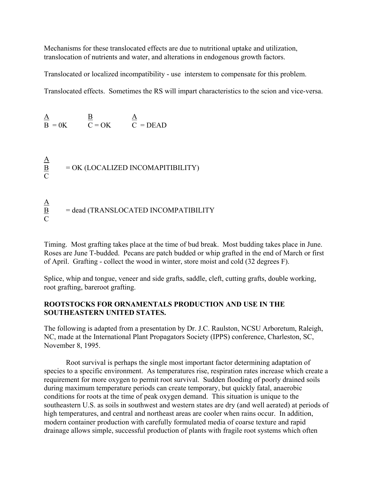Mechanisms for these translocated effects are due to nutritional uptake and utilization, translocation of nutrients and water, and alterations in endogenous growth factors.

Translocated or localized incompatibility - use interstem to compensate for this problem.

Translocated effects. Sometimes the RS will impart characteristics to the scion and vice-versa.

 $\overline{A}$  B  $\overline{A}$  $B = 0K$   $C = OK$   $C = DEAD$ 

 $\overline{C}$ 

 $\frac{\mathbf{A}}{\mathbf{B}}$  $B = OK (LOCALIZED INCOMAPITIBILITY)$  $\mathcal{C}$  $\underline{A}$  $\underline{B}$  = dead (TRANSLOCATED INCOMPATIBILITY

Timing. Most grafting takes place at the time of bud break. Most budding takes place in June. Roses are June T-budded. Pecans are patch budded or whip grafted in the end of March or first of April. Grafting - collect the wood in winter, store moist and cold (32 degrees F).

Splice, whip and tongue, veneer and side grafts, saddle, cleft, cutting grafts, double working, root grafting, bareroot grafting.

## **ROOTSTOCKS FOR ORNAMENTALS PRODUCTION AND USE IN THE SOUTHEASTERN UNITED STATES.**

The following is adapted from a presentation by Dr. J.C. Raulston, NCSU Arboretum, Raleigh, NC, made at the International Plant Propagators Society (IPPS) conference, Charleston, SC, November 8, 1995.

Root survival is perhaps the single most important factor determining adaptation of species to a specific environment. As temperatures rise, respiration rates increase which create a requirement for more oxygen to permit root survival. Sudden flooding of poorly drained soils during maximum temperature periods can create temporary, but quickly fatal, anaerobic conditions for roots at the time of peak oxygen demand. This situation is unique to the southeastern U.S. as soils in southwest and western states are dry (and well aerated) at periods of high temperatures, and central and northeast areas are cooler when rains occur. In addition, modern container production with carefully formulated media of coarse texture and rapid drainage allows simple, successful production of plants with fragile root systems which often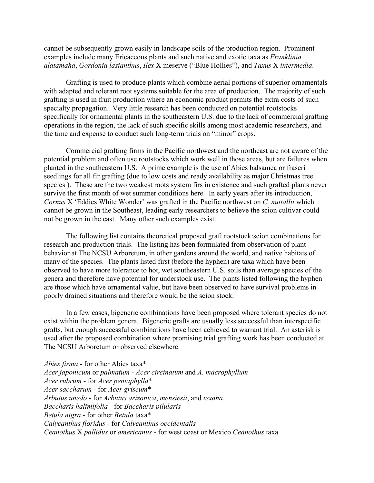cannot be subsequently grown easily in landscape soils of the production region. Prominent examples include many Ericaceous plants and such native and exotic taxa as *Franklinia alatamaha*, *Gordonia lasianthus*, *Ilex* X meserve ("Blue Hollies"), and *Taxus* X *intermedia*.

Grafting is used to produce plants which combine aerial portions of superior ornamentals with adapted and tolerant root systems suitable for the area of production. The majority of such grafting is used in fruit production where an economic product permits the extra costs of such specialty propagation. Very little research has been conducted on potential rootstocks specifically for ornamental plants in the southeastern U.S. due to the lack of commercial grafting operations in the region, the lack of such specific skills among most academic researchers, and the time and expense to conduct such long-term trials on "minor" crops.

Commercial grafting firms in the Pacific northwest and the northeast are not aware of the potential problem and often use rootstocks which work well in those areas, but are failures when planted in the southeastern U.S. A prime example is the use of Abies balsamea or fraseri seedlings for all fir grafting (due to low costs and ready availability as major Christmas tree species ). These are the two weakest roots system firs in existence and such grafted plants never survive the first month of wet summer conditions here. In early years after its introduction, *Cornus* X 'Eddies White Wonder' was grafted in the Pacific northwest on *C. nuttallii* which cannot be grown in the Southeast, leading early researchers to believe the scion cultivar could not be grown in the east. Many other such examples exist.

The following list contains theoretical proposed graft rootstock:scion combinations for research and production trials. The listing has been formulated from observation of plant behavior at The NCSU Arboretum, in other gardens around the world, and native habitats of many of the species. The plants listed first (before the hyphen) are taxa which have been observed to have more tolerance to hot, wet southeastern U.S. soils than average species of the genera and therefore have potential for understock use. The plants listed following the hyphen are those which have ornamental value, but have been observed to have survival problems in poorly drained situations and therefore would be the scion stock.

In a few cases, bigeneric combinations have been proposed where tolerant species do not exist within the problem genera. Bigeneric grafts are usually less successful than interspecific grafts, but enough successful combinations have been achieved to warrant trial. An asterisk is used after the proposed combination where promising trial grafting work has been conducted at The NCSU Arboretum or observed elsewhere.

*Abies firma* - for other Abies taxa\* *Acer japonicum* or *palmatum* - *Acer circinatum* and *A. macrophyllum Acer rubrum* - for *Acer pentaphylla*\* *Acer saccharum* - for *Acer griseum*\* *Arbutus unedo* - for *Arbutus arizonica*, *mensiesii*, and *texana*. *Baccharis halimifolia* - for *Baccharis pilularis Betula nigra* - for other *Betula* taxa\* *Calycanthus floridus* - for *Calycanthus occidentalis Ceanothus* X *pallidus* or *americanus* - for west coast or Mexico *Ceanothus* taxa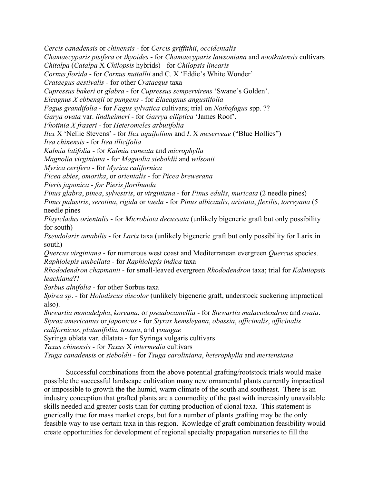*Cercis canadensis* or *chinensis* - for *Cercis griffithii*, *occidentalis*

*Chamaecyparis pisifera* or *thyoides* - for *Chamaecyparis lawsoniana* and *nootkatensis* cultivars

*Chitalpa* (*Catalpa* X *Chilopsis* hybrids) - for *Chilopsis linearis*

*Cornus florida* - for *Cornus nuttallii* and C. X 'Eddie's White Wonder'

*Crataegus aestivalis* - for other *Crataegus* taxa

*Cupressus bakeri* or *glabra* - for *Cupressus sempervirens* 'Swane's Golden'.

*Eleagnus X ebbengii* or *pungens* - for *Elaeagnus angustifolia*

*Fagus grandifolia* - for *Fagus sylvatica* cultivars; trial on *Nothofagus* spp. ??

*Garya ovata* var. *lindheimeri* - for *Garrya elliptica* 'James Roof'.

*Photinia X fraseri* - for *Heteromeles arbutifolia*

*Ilex* X 'Nellie Stevens' - for *Ilex aquifolium* and *I*. X *meserveae* ("Blue Hollies")

*Itea chinensis* - for *Itea illicifolia*

*Kalmia latifolia* - for *Kalmia cuneata* and *microphylla*

*Magnolia virginiana* - for *Magnolia sieboldii* and *wilsonii*

*Myrica cerifera* - for *Myrica californica*

*Picea abies*, *omorika*, or *orientalis* - for *Picea brewerana*

*Pieris japonica* - *for Pieris floribunda*

*Pinus glabra*, *pinea*, *sylvestris*, or *virginiana* - for *Pinus edulis*, *muricata* (2 needle pines) *Pinus palustris*, *serotina*, *rigida* or *taeda* - for *Pinus albicaulis*, *aristata*, *flexilis*, *torreyana* (5 needle pines

*Playtcladus orientalis* - for *Microbiota decussata* (unlikely bigeneric graft but only possibility for south)

*Pseudolarix amabilis* - for *Larix* taxa (unlikely bigeneric graft but only possibility for Larix in south)

*Quercus virginiana* - for numerous west coast and Mediterranean evergreen *Quercus* species. *Raphiolepis umbellata* - for *Raphiolepis indica* taxa

*Rhododendron chapmanii* - for small-leaved evergreen *Rhododendron* taxa; trial for *Kalmiopsis leachiana*??

*Sorbus alnifolia* - for other Sorbus taxa

*Spirea sp*. - for *Holodiscus discolor* (unlikely bigeneric graft, understock suckering impractical also).

*Stewartia monadelpha*, *koreana*, or *pseudocamellia* - for *Stewartia malacodendron* and *ovata*. *Styrax americanus* or *japonicus* - for *Styrax hemsleyana*, *obassia*, *officinalis*, *officinalis californicus*, *platanifolia*, *texana*, and *youngae*

Syringa oblata var. dilatata - for Syringa vulgaris cultivars

*Taxus chinensis* - for *Taxus* X *intermedia* cultivars

*Tsuga canadensis* or *sieboldii* - for *Tsuga caroliniana*, *heterophylla* and *mertensiana*

Successful combinations from the above potential grafting/rootstock trials would make possible the successful landscape cultivation many new ornamental plants currently impractical or impossible to growth the the humid, warm climate of the south and southeast. There is an industry conception that grafted plants are a commodity of the past with increasinly unavailable skills needed and greater costs than for cutting production of clonal taxa. This statement is gnerically true for mass market crops, but for a number of plants grafting may be the only feasible way to use certain taxa in this region. Kowledge of graft combination feasibility would create opportunities for development of regional specialty propagation nurseries to fill the